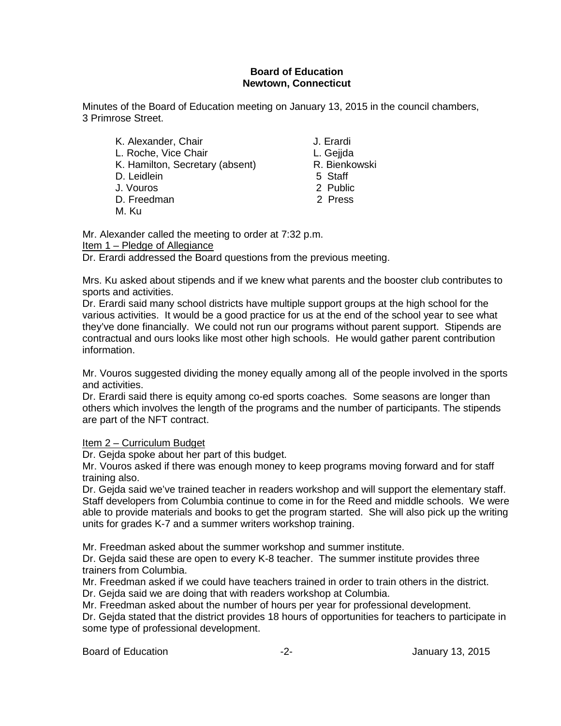#### **Board of Education Newtown, Connecticut**

Minutes of the Board of Education meeting on January 13, 2015 in the council chambers, 3 Primrose Street.

| K. Alexander, Chair             | J. Erardi     |
|---------------------------------|---------------|
| L. Roche, Vice Chair            | L. Gejida     |
| K. Hamilton, Secretary (absent) | R. Bienkowski |
| D. Leidlein                     | 5 Staff       |
| J. Vouros                       | 2 Public      |
| D. Freedman                     | 2 Press       |
| M. Ku                           |               |

Mr. Alexander called the meeting to order at 7:32 p.m. Item 1 – Pledge of Allegiance

Dr. Erardi addressed the Board questions from the previous meeting.

Mrs. Ku asked about stipends and if we knew what parents and the booster club contributes to sports and activities.

Dr. Erardi said many school districts have multiple support groups at the high school for the various activities. It would be a good practice for us at the end of the school year to see what they've done financially. We could not run our programs without parent support. Stipends are contractual and ours looks like most other high schools. He would gather parent contribution information.

Mr. Vouros suggested dividing the money equally among all of the people involved in the sports and activities.

Dr. Erardi said there is equity among co-ed sports coaches. Some seasons are longer than others which involves the length of the programs and the number of participants. The stipends are part of the NFT contract.

### Item 2 – Curriculum Budget

Dr. Gejda spoke about her part of this budget.

Mr. Vouros asked if there was enough money to keep programs moving forward and for staff training also.

Dr. Gejda said we've trained teacher in readers workshop and will support the elementary staff. Staff developers from Columbia continue to come in for the Reed and middle schools. We were able to provide materials and books to get the program started. She will also pick up the writing units for grades K-7 and a summer writers workshop training.

Mr. Freedman asked about the summer workshop and summer institute.

Dr. Gejda said these are open to every K-8 teacher. The summer institute provides three trainers from Columbia.

Mr. Freedman asked if we could have teachers trained in order to train others in the district.

Dr. Gejda said we are doing that with readers workshop at Columbia.

Mr. Freedman asked about the number of hours per year for professional development.

Dr. Gejda stated that the district provides 18 hours of opportunities for teachers to participate in some type of professional development.

Board of Education **-2-** Figure 2. Figure 13, 2015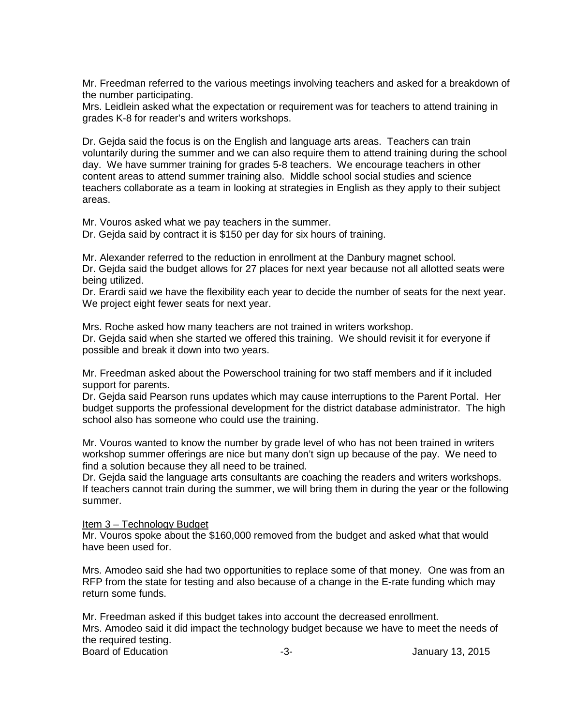Mr. Freedman referred to the various meetings involving teachers and asked for a breakdown of the number participating.

Mrs. Leidlein asked what the expectation or requirement was for teachers to attend training in grades K-8 for reader's and writers workshops.

Dr. Gejda said the focus is on the English and language arts areas. Teachers can train voluntarily during the summer and we can also require them to attend training during the school day. We have summer training for grades 5-8 teachers. We encourage teachers in other content areas to attend summer training also. Middle school social studies and science teachers collaborate as a team in looking at strategies in English as they apply to their subject areas.

Mr. Vouros asked what we pay teachers in the summer.

Dr. Gejda said by contract it is \$150 per day for six hours of training.

Mr. Alexander referred to the reduction in enrollment at the Danbury magnet school.

Dr. Gejda said the budget allows for 27 places for next year because not all allotted seats were being utilized.

Dr. Erardi said we have the flexibility each year to decide the number of seats for the next year. We project eight fewer seats for next year.

Mrs. Roche asked how many teachers are not trained in writers workshop. Dr. Gejda said when she started we offered this training. We should revisit it for everyone if possible and break it down into two years.

Mr. Freedman asked about the Powerschool training for two staff members and if it included support for parents.

Dr. Gejda said Pearson runs updates which may cause interruptions to the Parent Portal. Her budget supports the professional development for the district database administrator. The high school also has someone who could use the training.

Mr. Vouros wanted to know the number by grade level of who has not been trained in writers workshop summer offerings are nice but many don't sign up because of the pay. We need to find a solution because they all need to be trained.

Dr. Gejda said the language arts consultants are coaching the readers and writers workshops. If teachers cannot train during the summer, we will bring them in during the year or the following summer.

Item 3 – Technology Budget

Mr. Vouros spoke about the \$160,000 removed from the budget and asked what that would have been used for.

Mrs. Amodeo said she had two opportunities to replace some of that money. One was from an RFP from the state for testing and also because of a change in the E-rate funding which may return some funds.

Mr. Freedman asked if this budget takes into account the decreased enrollment. Mrs. Amodeo said it did impact the technology budget because we have to meet the needs of the required testing. Board of Education **-3-** Figure -3- All anuary 13, 2015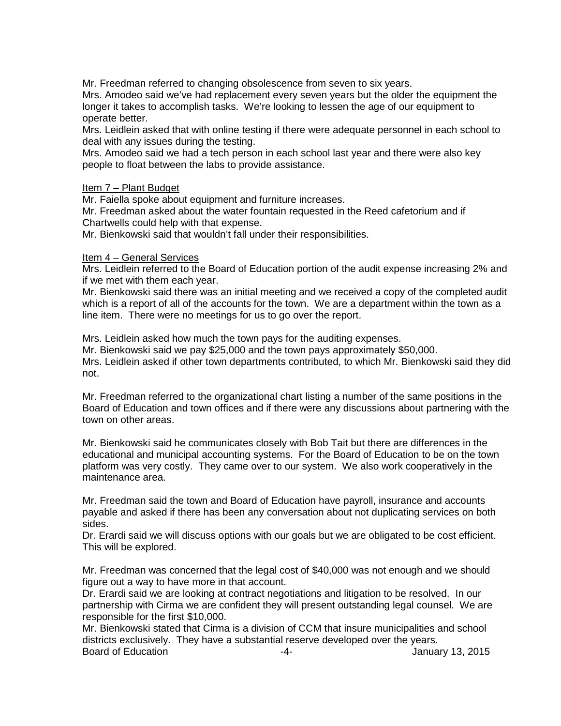Mr. Freedman referred to changing obsolescence from seven to six years.

Mrs. Amodeo said we've had replacement every seven years but the older the equipment the longer it takes to accomplish tasks. We're looking to lessen the age of our equipment to operate better.

Mrs. Leidlein asked that with online testing if there were adequate personnel in each school to deal with any issues during the testing.

Mrs. Amodeo said we had a tech person in each school last year and there were also key people to float between the labs to provide assistance.

#### Item 7 – Plant Budget

Mr. Faiella spoke about equipment and furniture increases.

Mr. Freedman asked about the water fountain requested in the Reed cafetorium and if Chartwells could help with that expense.

Mr. Bienkowski said that wouldn't fall under their responsibilities.

#### Item 4 – General Services

Mrs. Leidlein referred to the Board of Education portion of the audit expense increasing 2% and if we met with them each year.

Mr. Bienkowski said there was an initial meeting and we received a copy of the completed audit which is a report of all of the accounts for the town. We are a department within the town as a line item. There were no meetings for us to go over the report.

Mrs. Leidlein asked how much the town pays for the auditing expenses. Mr. Bienkowski said we pay \$25,000 and the town pays approximately \$50,000. Mrs. Leidlein asked if other town departments contributed, to which Mr. Bienkowski said they did not.

Mr. Freedman referred to the organizational chart listing a number of the same positions in the Board of Education and town offices and if there were any discussions about partnering with the town on other areas.

Mr. Bienkowski said he communicates closely with Bob Tait but there are differences in the educational and municipal accounting systems. For the Board of Education to be on the town platform was very costly. They came over to our system. We also work cooperatively in the maintenance area.

Mr. Freedman said the town and Board of Education have payroll, insurance and accounts payable and asked if there has been any conversation about not duplicating services on both sides.

Dr. Erardi said we will discuss options with our goals but we are obligated to be cost efficient. This will be explored.

Mr. Freedman was concerned that the legal cost of \$40,000 was not enough and we should figure out a way to have more in that account.

Dr. Erardi said we are looking at contract negotiations and litigation to be resolved. In our partnership with Cirma we are confident they will present outstanding legal counsel. We are responsible for the first \$10,000.

Mr. Bienkowski stated that Cirma is a division of CCM that insure municipalities and school districts exclusively. They have a substantial reserve developed over the years. Board of Education **Francisco Community** 13, 2015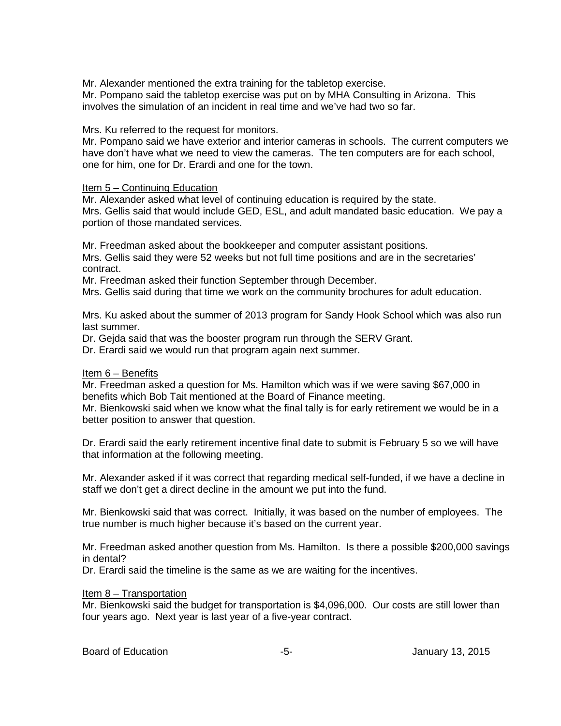Mr. Alexander mentioned the extra training for the tabletop exercise.

Mr. Pompano said the tabletop exercise was put on by MHA Consulting in Arizona. This involves the simulation of an incident in real time and we've had two so far.

#### Mrs. Ku referred to the request for monitors.

Mr. Pompano said we have exterior and interior cameras in schools. The current computers we have don't have what we need to view the cameras. The ten computers are for each school, one for him, one for Dr. Erardi and one for the town.

#### Item 5 – Continuing Education

Mr. Alexander asked what level of continuing education is required by the state. Mrs. Gellis said that would include GED, ESL, and adult mandated basic education. We pay a portion of those mandated services.

Mr. Freedman asked about the bookkeeper and computer assistant positions. Mrs. Gellis said they were 52 weeks but not full time positions and are in the secretaries' contract.

Mr. Freedman asked their function September through December.

Mrs. Gellis said during that time we work on the community brochures for adult education.

Mrs. Ku asked about the summer of 2013 program for Sandy Hook School which was also run last summer.

Dr. Gejda said that was the booster program run through the SERV Grant.

Dr. Erardi said we would run that program again next summer.

#### Item 6 – Benefits

Mr. Freedman asked a question for Ms. Hamilton which was if we were saving \$67,000 in benefits which Bob Tait mentioned at the Board of Finance meeting.

Mr. Bienkowski said when we know what the final tally is for early retirement we would be in a better position to answer that question.

Dr. Erardi said the early retirement incentive final date to submit is February 5 so we will have that information at the following meeting.

Mr. Alexander asked if it was correct that regarding medical self-funded, if we have a decline in staff we don't get a direct decline in the amount we put into the fund.

Mr. Bienkowski said that was correct. Initially, it was based on the number of employees. The true number is much higher because it's based on the current year.

Mr. Freedman asked another question from Ms. Hamilton. Is there a possible \$200,000 savings in dental?

Dr. Erardi said the timeline is the same as we are waiting for the incentives.

#### Item 8 – Transportation

Mr. Bienkowski said the budget for transportation is \$4,096,000. Our costs are still lower than four years ago. Next year is last year of a five-year contract.

Board of Education **-5-** Formulary 13, 2015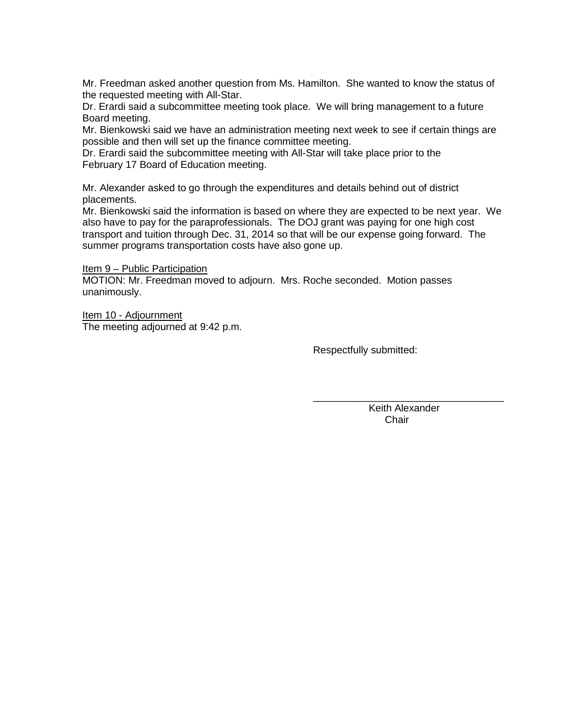Mr. Freedman asked another question from Ms. Hamilton. She wanted to know the status of the requested meeting with All-Star.

Dr. Erardi said a subcommittee meeting took place. We will bring management to a future Board meeting.

Mr. Bienkowski said we have an administration meeting next week to see if certain things are possible and then will set up the finance committee meeting.

Dr. Erardi said the subcommittee meeting with All-Star will take place prior to the February 17 Board of Education meeting.

Mr. Alexander asked to go through the expenditures and details behind out of district placements.

Mr. Bienkowski said the information is based on where they are expected to be next year. We also have to pay for the paraprofessionals. The DOJ grant was paying for one high cost transport and tuition through Dec. 31, 2014 so that will be our expense going forward. The summer programs transportation costs have also gone up.

Item 9 – Public Participation

MOTION: Mr. Freedman moved to adjourn. Mrs. Roche seconded. Motion passes unanimously.

Item 10 - Adjournment The meeting adjourned at 9:42 p.m.

Respectfully submitted:

 $\frac{1}{\sqrt{2}}$  ,  $\frac{1}{\sqrt{2}}$  ,  $\frac{1}{\sqrt{2}}$  ,  $\frac{1}{\sqrt{2}}$  ,  $\frac{1}{\sqrt{2}}$  ,  $\frac{1}{\sqrt{2}}$  ,  $\frac{1}{\sqrt{2}}$  ,  $\frac{1}{\sqrt{2}}$  ,  $\frac{1}{\sqrt{2}}$  ,  $\frac{1}{\sqrt{2}}$  ,  $\frac{1}{\sqrt{2}}$  ,  $\frac{1}{\sqrt{2}}$  ,  $\frac{1}{\sqrt{2}}$  ,  $\frac{1}{\sqrt{2}}$  ,  $\frac{1}{\sqrt{2}}$  Keith Alexander Chair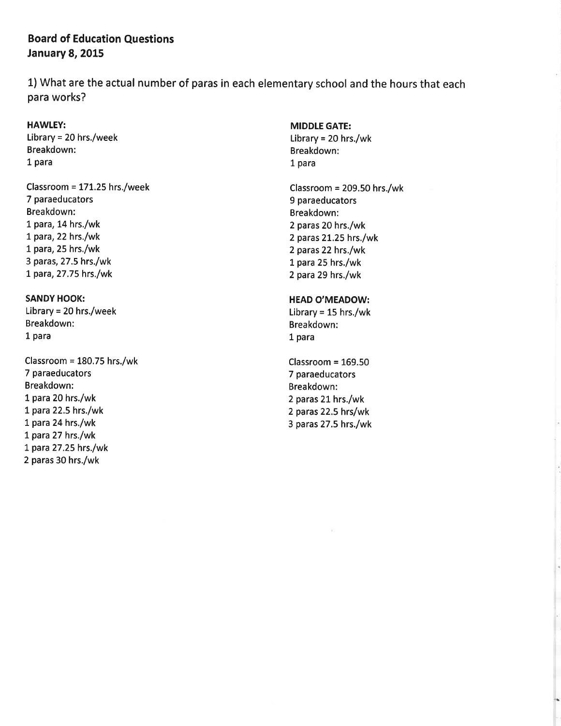### **Board of Education Questions January 8, 2015**

1) What are the actual number of paras in each elementary school and the hours that each para works?

#### **HAWLEY:**

Library = 20 hrs./week Breakdown: 1 para

Classroom = 171.25 hrs./week 7 paraeducators Breakdown: 1 para, 14 hrs./wk 1 para, 22 hrs./wk 1 para, 25 hrs./wk 3 paras, 27.5 hrs./wk 1 para, 27.75 hrs./wk

# **SANDY HOOK:** Library = 20 hrs./week

Breakdown: 1 para

Classroom =  $180.75$  hrs./wk 7 paraeducators Breakdown: 1 para 20 hrs./wk 1 para 22.5 hrs./wk 1 para 24 hrs./wk 1 para 27 hrs./wk 1 para 27.25 hrs./wk 2 paras 30 hrs./wk

#### **MIDDLE GATE:**

Library = 20 hrs./wk Breakdown: 1 para

Classroom =  $209.50$  hrs./wk 9 paraeducators Breakdown: 2 paras 20 hrs./wk 2 paras 21.25 hrs./wk 2 paras 22 hrs./wk 1 para 25 hrs./wk 2 para 29 hrs./wk

#### **HEAD O'MEADOW:**

Library =  $15$  hrs./wk Breakdown: 1 para

Classroom =  $169.50$ 7 paraeducators Breakdown: 2 paras 21 hrs./wk 2 paras 22.5 hrs/wk 3 paras 27.5 hrs./wk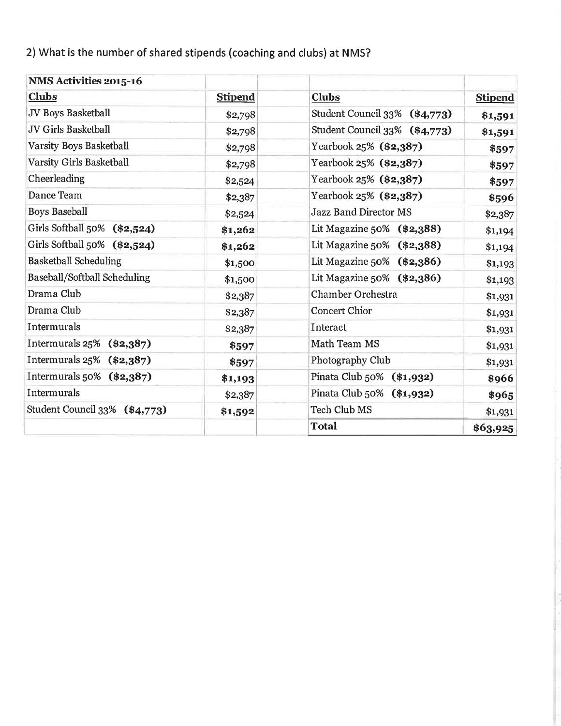2) What is the number of shared stipends (coaching and clubs) at NMS?

| NMS Activities 2015-16        |                |                               |                |
|-------------------------------|----------------|-------------------------------|----------------|
| <b>Clubs</b>                  | <b>Stipend</b> | <b>Clubs</b>                  | <b>Stipend</b> |
| JV Boys Basketball            | \$2,798        | Student Council 33% (\$4,773) | \$1,591        |
| <b>JV Girls Basketball</b>    | \$2,798        | Student Council 33% (\$4,773) | \$1,591        |
| Varsity Boys Basketball       | \$2,798        | Yearbook 25% (\$2,387)        | \$597          |
| Varsity Girls Basketball      | \$2,798        | Yearbook 25% (\$2,387)        | \$597          |
| Cheerleading                  | \$2,524        | Yearbook 25% (\$2,387)        | \$597          |
| Dance Team                    | \$2,387        | Yearbook 25% (\$2,387)        | \$596          |
| <b>Boys Baseball</b>          | \$2,524        | <b>Jazz Band Director MS</b>  | \$2,387        |
| Girls Softball 50% (\$2,524)  | \$1,262        | Lit Magazine 50% (\$2,388)    | \$1,194        |
| Girls Softball 50% (\$2,524)  | \$1,262        | Lit Magazine 50% (\$2,388)    | \$1,194        |
| <b>Basketball Scheduling</b>  | \$1,500        | Lit Magazine 50% (\$2,386)    | \$1,193        |
| Baseball/Softball Scheduling  | \$1,500        | Lit Magazine $50\%$ (\$2,386) | \$1,193        |
| Drama Club                    | \$2,387        | <b>Chamber Orchestra</b>      | \$1,931        |
| Drama Club                    | \$2,387        | <b>Concert Chior</b>          | \$1,931        |
| Intermurals                   | \$2,387        | Interact                      | \$1,931        |
| Intermurals 25%<br>$(*2,387)$ | \$597          | Math Team MS                  | \$1,931        |
| Intermurals $25\%$ (\$2,387)  | \$597          | Photography Club              | \$1,931        |
| Intermurals $50\%$ (\$2,387)  | \$1,193        | Pinata Club 50% (\$1,932)     | \$966          |
| Intermurals                   | \$2,387        | Pinata Club 50% (\$1,932)     | \$965          |
| Student Council 33% (\$4,773) | \$1,592        | <b>Tech Club MS</b>           | \$1,931        |
|                               |                | <b>Total</b>                  | \$63,925       |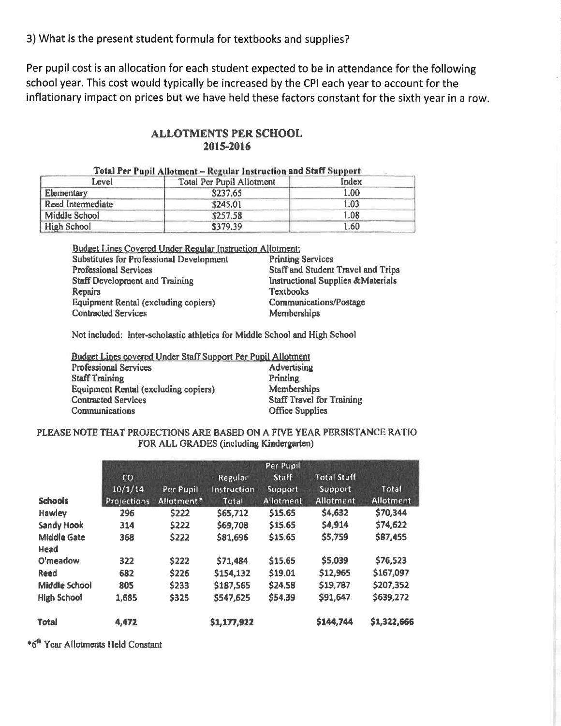3) What is the present student formula for textbooks and supplies?

Per pupil cost is an allocation for each student expected to be in attendance for the following school year. This cost would typically be increased by the CPI each year to account for the inflationary impact on prices but we have held these factors constant for the sixth year in a row.

### **ALLOTMENTS PER SCHOOL** 2015-2016

| Tomi Let Lupit Allotment – Regular Instruction and Start Support |                                  |       |  |  |  |  |
|------------------------------------------------------------------|----------------------------------|-------|--|--|--|--|
| Level                                                            | <b>Total Per Pupil Allotment</b> | Index |  |  |  |  |
| Elementary                                                       | \$237.65                         | 1.00  |  |  |  |  |
| Reed Intermediate                                                | \$245.01                         | 1.03  |  |  |  |  |
| Middle School                                                    | \$257.58                         | 1.08  |  |  |  |  |
| <b>High School</b>                                               | \$379.39                         | 1.60  |  |  |  |  |

#### $\mathbf{u}$  and  $\mathbf{v}$  are  $\mathbf{u}$  and  $\mathbf{v}$  are  $\mathbf{v}$  and  $\mathbf{v}$  are  $\mathbf{v}$  and  $\mathbf{v}$ **The Association Control**  $11.11.1$

**Budget Lines Covered Under Regular Instruction Allotment:** 

Substitutes for Professional Development **Professional Services** Staff Development and Training Repairs **Equipment Rental (excluding copiers) Contracted Services** 

**Printing Services Staff and Student Travel and Trips Instructional Supplies &Materials Textbooks Communications/Postage** Memberships

Not included: Inter-scholastic athletics for Middle School and High School

| Budget Lines covered Under Staff Support Per Pupil Allotment |                                  |  |  |  |  |
|--------------------------------------------------------------|----------------------------------|--|--|--|--|
| <b>Professional Services</b>                                 | <b>Advertising</b>               |  |  |  |  |
| <b>Staff Training</b>                                        | Printing                         |  |  |  |  |
| Equipment Rental (excluding copiers)                         | Memberships                      |  |  |  |  |
| <b>Contracted Services</b>                                   | <b>Staff Travel for Training</b> |  |  |  |  |
| Communications                                               | <b>Office Supplies</b>           |  |  |  |  |

#### PLEASE NOTE THAT PROJECTIONS ARE BASED ON A FIVE YEAR PERSISTANCE RATIO FOR ALL GRADES (including Kindergarten)

| <b>Schools</b>       | CO<br>10/1/14<br>Projections | Per Pupil<br>Allotment* | Regular<br>Instruction<br><b>Total</b> | Per Pupil<br>Staff<br>Support<br>Allotment | <b>Total Staff</b><br>Support<br><b>Allotment</b> | Total<br><b>Allotment</b> |
|----------------------|------------------------------|-------------------------|----------------------------------------|--------------------------------------------|---------------------------------------------------|---------------------------|
| <b>Hawley</b>        | 296                          | \$222                   | \$65,712                               | \$15.65                                    | \$4,632                                           | \$70,344                  |
| <b>Sandy Hook</b>    | 314                          | \$222                   | \$69,708                               | \$15.65                                    | \$4,914                                           | \$74,622                  |
| <b>Middle Gate</b>   | 368                          | \$222                   | \$81,696                               | \$15.65                                    | \$5,759                                           | \$87,455                  |
| Head                 |                              |                         |                                        |                                            |                                                   |                           |
| O'meadow             | 322                          | \$222                   | \$71,484                               | \$15.65                                    | \$5,039                                           | \$76,523                  |
| Reed                 | 682                          | \$226                   | \$154,132                              | \$19.01                                    | \$12,965                                          | \$167,097                 |
| <b>Middle School</b> | 805                          | \$233                   | \$187,565                              | \$24.58                                    | \$19,787                                          | \$207,352                 |
| <b>High School</b>   | 1,685                        | \$325                   | \$547,625                              | \$54.39                                    | \$91,647                                          | \$639,272                 |
| <b>Total</b>         | 4,472                        |                         | \$1,177,922                            |                                            | \$144,744                                         | \$1,322,666               |

\*6<sup>th</sup> Year Allotments Held Constant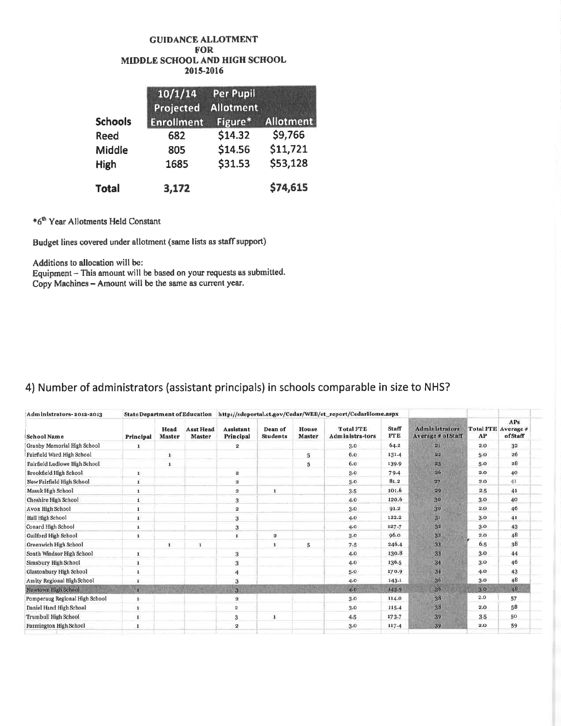#### **GUIDANCE ALLOTMENT FOR** MIDDLE SCHOOL AND HIGH SCHOOL 2015-2016

|                | 10/1/14<br>Projected | <b>Per Pupil</b><br><b>Allotment</b> |                  |
|----------------|----------------------|--------------------------------------|------------------|
| <b>Schools</b> | <b>Enrollment</b>    | Figure*                              | <b>Allotment</b> |
| <b>Reed</b>    | 682                  | \$14.32                              | \$9,766          |
| Middle         | 805                  | \$14.56                              | \$11,721         |
| <b>High</b>    | 1685                 | \$31.53                              | \$53,128         |
| <b>Total</b>   | 3,172                |                                      | \$74,615         |

\*6<sup>th</sup> Year Allotments Held Constant

Budget lines covered under allotment (same lists as staff support)

Additions to allocation will be:

Equipment - This amount will be based on your requests as submitted. Copy Machines - Amount will be the same as current year.

## 4) Number of administrators (assistant principals) in schools comparable in size to NHS?

| Administrators-2012-2013       |              |                       |                            | State Department of Education http://sdeportal.ct.gov/Cedar/WEB/ct_report/CedarHome.aspx |                            |                        |                                     |                            |                                             |       |                                        |
|--------------------------------|--------------|-----------------------|----------------------------|------------------------------------------------------------------------------------------|----------------------------|------------------------|-------------------------------------|----------------------------|---------------------------------------------|-------|----------------------------------------|
| School Name                    | Principal    | Head<br><b>Master</b> | <b>Asst Head</b><br>Master | <b>Assistant</b><br>Principal                                                            | Dean of<br><b>Students</b> | House<br><b>Master</b> | <b>Total FTE</b><br>Administra-tors | <b>Staff</b><br><b>FTE</b> | <b>Administrators</b><br>Average # of Staff | AP    | APs.<br>Total FTE Average #<br>ofStaff |
| Granby Memorial High School    | 1            |                       |                            | 2                                                                                        |                            |                        | 3.0                                 | 64.2                       | 21                                          | 2.0   | 32                                     |
| Fairfield Ward High School     |              | $\mathbf{I}$          |                            |                                                                                          |                            | $\overline{5}$         | 6.0                                 | 131.4                      | 22                                          | 5.0   | 26                                     |
| Fairfield Ludlowe High School  |              | $\mathbf{I}$          |                            |                                                                                          |                            | 5                      | 6.0                                 | 139.9                      | 23                                          | 5.0   | 28                                     |
| Brookfield High School         | $\mathbf{1}$ |                       |                            | $\overline{\mathbf{2}}$                                                                  |                            |                        | 3.0                                 | 79.4                       | 26                                          | 2.0   | 40                                     |
| New Fairfield High School      | 1            |                       |                            | $\mathbf{2}$                                                                             |                            |                        | 3.0                                 | 81.2                       | 27                                          | 2.0   | 41                                     |
| Masuk High School              | $\mathbf{I}$ |                       |                            | $\mathbf{a}$                                                                             | $\mathbf{I}$               |                        | 3.5                                 | 101.6                      | 29                                          | 2.5   | 41                                     |
| Cheshire High School           | 1            |                       |                            | $\overline{\mathbf{3}}$                                                                  |                            |                        | 4.0                                 | 120.6                      | 30                                          | 3.0   | 40                                     |
| Avon High School               | 1            |                       |                            | 2                                                                                        |                            |                        | 3.0 <sub>1</sub>                    | 91.2                       | 30                                          | 2.0   | 46                                     |
| Hall High School               | $\mathbf{1}$ |                       |                            | $\overline{\mathbf{3}}$                                                                  |                            |                        | 4.0                                 | 122.2                      | 31                                          | 3.0   | 41                                     |
| Conard High School             | 1            |                       |                            | 3                                                                                        |                            |                        | 4.0                                 | 127.7                      | 32                                          | 3.0   | 43                                     |
| Guilford High School           | 1            |                       |                            | 1                                                                                        | $\overline{\mathbf{2}}$    |                        | 3.0                                 | 96.0                       | 3 <sup>2</sup>                              | 2.0   | 48                                     |
| Greenwich High School          |              | 1                     | $\mathbf 1$                |                                                                                          | $\mathbf{I}$               | 5                      | 7.5                                 | 246.4                      | 33                                          | 6.5   | 38                                     |
| South Windsor High School      | $\mathbf{1}$ |                       |                            | $\overline{\mathbf{3}}$                                                                  |                            |                        | 4.0.                                | 130.8                      | 33                                          | 3.0   | 44                                     |
| Simsbury High School           | 1            |                       |                            | 3                                                                                        |                            |                        | 4.0                                 | 136.5                      | 34                                          | 3.0   | 46                                     |
| Glastonbury High School        | 1            |                       |                            | 4                                                                                        |                            |                        | 5.0                                 | 170.9                      | 34                                          | 4.0   | 43                                     |
| Amity Regional High School     | $\mathbf{I}$ |                       |                            | $\overline{3}$                                                                           |                            |                        | 4.0                                 | 143.1                      | 36                                          | 3.0   | 48                                     |
| Newtown High School            | ×            |                       |                            | $\overline{\mathbf{3}}$                                                                  |                            |                        | 4.0                                 | 143.9                      | 36 <sub>2</sub>                             | 3.0   | 48                                     |
| Pomperaug Regional High School | $\mathbf{1}$ |                       |                            | $\bf{2}$                                                                                 |                            |                        | 3.0                                 | 114.0                      | 38                                          | 2,0   | 57                                     |
| Daniel Hand High School        | $\mathbf{1}$ |                       |                            | $\overline{2}$                                                                           |                            |                        | 3.0                                 | 115.4                      | 38                                          | 2.0   | 58                                     |
| Trumbull High School           | $\mathbf{1}$ |                       |                            | 3                                                                                        | $\mathbf{1}$               |                        | 4.5                                 | 173.7                      | 39                                          | $3-5$ | 50                                     |
| Farmington High School         | 1            |                       |                            | $\overline{\mathbf{2}}$                                                                  |                            |                        | 3.0                                 | 117.4                      | 39.                                         | 2.0   | 59                                     |
|                                |              |                       |                            |                                                                                          |                            |                        |                                     |                            |                                             |       |                                        |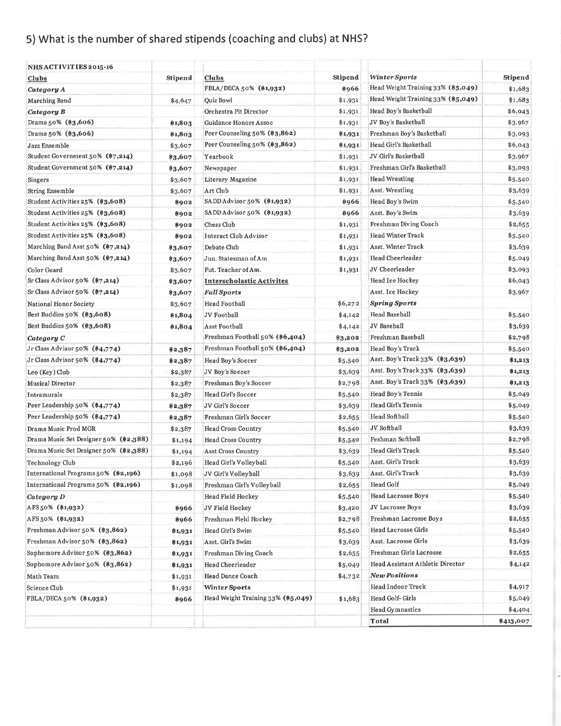# 5) What is the number of shared stipends (coaching and clubs) at NHS?

| NHSACTIVITIES2015-16                   |         |                                    |         |                                         |           |
|----------------------------------------|---------|------------------------------------|---------|-----------------------------------------|-----------|
| <u>Clubs</u>                           | Stipend | Clubs                              | Stipend | Winter Sports                           | Stipend   |
| Category A                             |         | FBLA/DECA 50% (\$1,932)            | \$966   | Head Weight Training 33% (\$5,049)      | \$1,683   |
| Marching Band                          | \$4,647 | Quiz Bowl                          | \$1,931 | Head Weight Training 33% (\$5,049)      | \$1,683   |
| Category B                             |         | Orchestra Pit Director             | \$1,931 | Head Boy's Basketball                   | \$6,043   |
| Drama 50% (\$3,606)                    | \$1,803 | Guidance Honors Assoc              | \$1,931 | JV Boy's Basketball                     | \$3,967   |
| Drama 50% (\$3,606)                    | \$1,803 | Peer Counseling 50% (\$3,862)      | \$1,931 | Freshman Boy's Basketball               | \$3,093   |
| Jazz Ensemble                          | \$3,607 | Peer Counseling 50% (\$3,862)      | \$1,931 | Head Girl's Basketball                  | \$6,043   |
| Student Government 50% (\$7,214)       | \$3,607 | Yearbook                           | \$1,931 | JV Girl's Basketball                    | \$3,967   |
| Student Government 50% (\$7,214)       | \$3,607 | Newspaper                          | \$1,931 | Freshman Girl's Basketball              | \$3,093   |
| Singers                                | \$3,607 | Literary Magazine                  | \$1,931 | <b>Head Wrestling</b>                   | \$5,540   |
| <b>String Ensemble</b>                 | \$3,607 | Art Club                           | \$1,931 | Asst. Wrestling                         | \$3,639   |
| Student Activities 25% (\$3,608)       | 8902    | SADD Advisor 50% (\$1,932)         | 8966    | Head Boy's Swim                         | \$5,540   |
| Student Activities 25% (\$3,608)       | 8902    | SADD Advisor 50% (\$1,932)         | 8966    | Asst. Boy's Swim                        | \$3,639   |
| Student Activities 25% (\$3,608)       | 8902    | Chess Club                         | \$1,931 | Freshman Diving Coach                   | \$2,655   |
| Student Activities 25% (\$3,608)       | \$902   | Interact Club Advisor              | \$1,931 | <b>Head Winter Track</b>                | \$5,540   |
| Marching Band Asst 50% (\$7,214)       | \$3,607 | Debate Club                        | \$1,931 | Asst. Winter Track                      | \$3,639   |
| Marching Band Asst 50% (\$7,214)       | \$3,607 | Jun. Statesman of Am               | \$1,931 | Head Cheerleader                        | \$5,049   |
| Color Guard                            | \$3,607 | Fut. Teacher of Am.                | \$1,931 | JV Cheerleader                          | \$3,093   |
| Sr Class Advisor 50% (\$7,214)         | \$3,607 | <b>Interscholastic Activites</b>   |         | Head Ice Hockey                         | \$6,043   |
| Sr Class Advisor 50% (\$7,214)         | \$3,607 | <b>Fall Sports</b>                 |         | Asst. Ice Hockey                        | \$3,967   |
| National Honor Society                 | \$3,607 | <b>Head Football</b>               | \$6,272 | <b>Spring Sports</b>                    |           |
| Best Buddies 50% (\$3,608)             | \$1,804 | JV Football                        | \$4,142 | <b>Head Baseball</b>                    | \$5,540   |
| Best Buddies 50% (\$3,608)             | \$1,804 | Asst Football                      | \$4,142 | JV Baseball                             | \$3,639   |
| Category C                             |         | Freshman Football 50% (\$6,404)    | \$3,202 | Freshman Baseball                       | \$2,798   |
| Jr Class Advisor 50% (\$4,774)         | \$2,387 | Freshman Football 50% (\$6,404)    | \$3,202 | Head Boy's Track                        | \$5,540   |
| Jr Class Advisor 50% (\$4,774)         | \$2,387 | Head Boy's Soccer                  | \$5,540 | Asst. Boy's Track 33% (\$3,639)         | \$1,213   |
| Leo (Key) Club                         | \$2,387 | JV Boy's Soccer                    | \$3,639 | Asst. Boy's Track 33% (\$3,639)         | \$1,213   |
| <b>Musical Director</b>                | \$2,387 | Freshman Boy's Soccer              | \$2,798 | Asst. Boy's Track 33% (\$3,639)         | \$1,213   |
| Intramurals                            | \$2,387 | Head Girl's Soccer                 | \$5,540 | Head Boy's Tennis                       | \$5,049   |
| Peer Leadership $50\%$ (\$4,774)       | \$2,387 | JV Girl's Soccer                   | \$3,639 | Head Girl's Tennis                      | \$5,049   |
| Peer Leadership 50% (\$4,774)          | \$2,387 | Freshman Girl's Soccer             | \$2,655 | <b>Head Softball</b>                    | \$5,540   |
| Drama Music Prod MGR                   | \$2,387 | Head Cross Country                 | \$5,540 | JV Softball                             | \$3,639   |
| Drama Music Set Designer 50% (\$2,388) | \$1,194 | <b>Head Cross Country</b>          | \$5,540 | Feshman Softball                        | \$2,798   |
| Drama Music Set Designer 50% (\$2,388) | \$1,194 | Asst Cross Country                 | \$3,639 | Head Girl's Track                       | \$5,540   |
| Technology Club                        | \$2,196 | Head Girl's Volleyball             | \$5,540 | Asst. Girl's Track                      | \$3,639   |
| International Programs 50% (\$2,196)   | \$1,098 | JV Girl's Volley ball              | \$3,639 | Asst. Girl's Track                      | \$3,639   |
| International Programs 50% (\$2,196)   | \$1,098 | Freshman Girl's Volleyball         | \$2,655 | Head Golf                               | \$5,049   |
| Category D                             |         | Head Field Hockey                  | \$5,540 | <b>Head Lacrosse Boys</b>               | \$5,540   |
| AFS 50% (\$1,932)                      | 8966    | JV Field Hockey                    | \$3,420 | <b>JV Lacrosse Boys</b>                 | \$3,639   |
| AFS 50% (\$1,932)                      | 8966    | Freshman Field Hockey              | \$2,798 | Freshman Lacrosse Boys                  | \$2,655   |
| Freshman Advisor 50% (\$3,862)         | \$1,931 | Head Girl's Swim                   | \$5,540 | Head Lacrosse Girls                     | \$5,540   |
| Freshman Advisor 50% (\$3,862)         | \$1,931 | Asst. Girl's Swim                  | \$3,639 | Asst. Lacrosse Girls                    | \$3,639   |
| Sophomore Advisor 50% (\$3,862)        | \$1,931 | Freshman Diving Coach              | \$2,655 | Freshman Girls Lacrosse                 | \$2,655   |
| Sophomore Advisor 50% (\$3,862)        | \$1,931 | Head Cheerleader                   | \$5,049 | <b>Head Assistant Athletic Director</b> | \$4,142   |
| Math Team                              | \$1,931 | Head Dance Coach                   | \$4,732 | <b>New Positions</b>                    |           |
| Science Club                           | \$1,931 | <b>Winter Sports</b>               |         | Head Indoor Track                       | \$4,917   |
| FBLA/DECA 50% (\$1,932)                | 8966    | Head Weight Training 33% (\$5,049) | \$1,683 | Head Golf- Girls                        | \$5,049   |
|                                        |         |                                    |         | Head Gymnastics                         | \$4,404   |
|                                        |         |                                    |         | Total                                   | \$413,007 |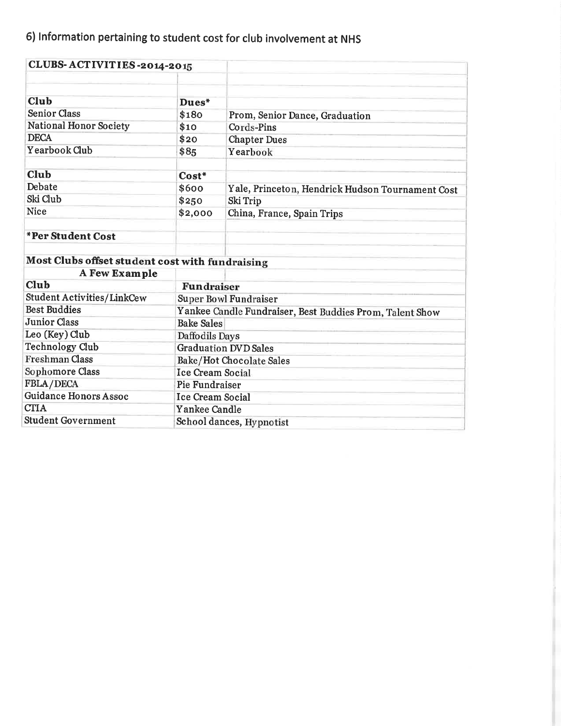# 6) Information pertaining to student cost for club involvement at NHS

| CLUBS-ACTIVITIES-2014-2015                      |                          |                                                          |  |  |
|-------------------------------------------------|--------------------------|----------------------------------------------------------|--|--|
|                                                 |                          |                                                          |  |  |
| Club                                            | Dues*                    |                                                          |  |  |
| <b>Senior Class</b>                             | \$180                    | Prom, Senior Dance, Graduation                           |  |  |
| <b>National Honor Society</b>                   | \$10                     | Cords-Pins                                               |  |  |
| <b>DECA</b>                                     | \$20                     | <b>Chapter Dues</b>                                      |  |  |
| Yearbook Club                                   | \$85                     | Yearbook                                                 |  |  |
| <b>Club</b>                                     | Cost*                    |                                                          |  |  |
| Debate                                          | \$600                    | Yale, Princeton, Hendrick Hudson Tournament Cost         |  |  |
| Ski Club                                        | \$250                    | Ski Trip                                                 |  |  |
| <b>Nice</b>                                     | \$2,000                  | China, France, Spain Trips                               |  |  |
| *Per Student Cost                               |                          |                                                          |  |  |
| Most Clubs offset student cost with fundraising |                          |                                                          |  |  |
| <b>A Few Example</b>                            |                          |                                                          |  |  |
| Club                                            | <b>Fundraiser</b>        |                                                          |  |  |
| <b>Student Activities/LinkCew</b>               |                          | Super Bowl Fundraiser                                    |  |  |
| <b>Best Buddies</b>                             |                          | Yankee Candle Fundraiser, Best Buddies Prom, Talent Show |  |  |
| <b>Junior Class</b>                             | <b>Bake Sales</b>        |                                                          |  |  |
| Leo (Key) Club                                  | Daffodils Days           |                                                          |  |  |
| <b>Technology Club</b>                          |                          | <b>Graduation DVD Sales</b>                              |  |  |
| <b>Freshman Class</b>                           | Bake/Hot Chocolate Sales |                                                          |  |  |
| Sophomore Class                                 | <b>Ice Cream Social</b>  |                                                          |  |  |
| FBLA/DECA                                       | Pie Fundraiser           |                                                          |  |  |
| <b>Guidance Honors Assoc</b>                    | <b>Ice Cream Social</b>  |                                                          |  |  |
| <b>CTIA</b>                                     | Yankee Candle            |                                                          |  |  |
| <b>Student Government</b>                       | School dances, Hypnotist |                                                          |  |  |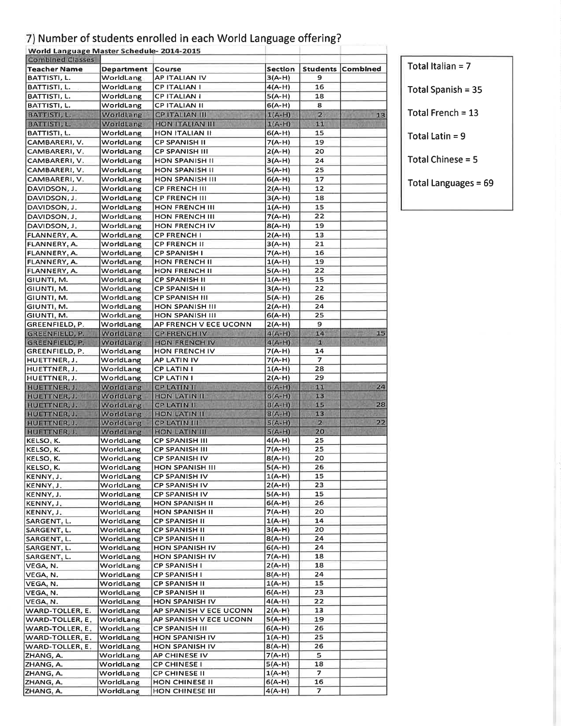# 7) Number of students enrolled in each World Language offering?

| World Language Master Schedule-2014-2015<br><b>Combined Classes</b> |                   |                        |                |                          |          |
|---------------------------------------------------------------------|-------------------|------------------------|----------------|--------------------------|----------|
| <b>Teacher Name</b>                                                 | <b>Department</b> | Course                 | <b>Section</b> | <b>Students</b>          | Combined |
| BATTISTI, L.                                                        | WorldLang         | <b>AP ITALIAN IV</b>   | $3(A-H)$       | 9                        |          |
| BATTISTI, L.                                                        | WorldLang         | <b>CPITALIANI</b>      | $4(A-H)$       | 16                       |          |
| BATTISTI, L.                                                        | WorldLang         | <b>CPITALIANI</b>      | $5(A-H)$       | 18                       |          |
| BATTISTI, L.                                                        | WorldLang         | <b>CP ITALIAN II</b>   | $6(A-H)$       | 8                        |          |
| BATTISTI, L.                                                        | WorldLang         | <b>CP ITALIAN III</b>  | $1(A-H)$       | 2                        | 13       |
| BATTISTI, L.                                                        | WorldLang         | <b>HON ITALIAN III</b> | $1(A-H)$       | 11                       |          |
| BATTISTI, L.                                                        | WorldLang         | <b>HON ITALIAN II</b>  | $6(A-H)$       | 15                       |          |
| CAMBARERI, V.                                                       | WorldLang         | <b>CP SPANISH II</b>   | $7(A-H)$       | 19                       |          |
| CAMBARERI, V.                                                       | WorldLang         | <b>CP SPANISH III</b>  | $2(A-H)$       | 20                       |          |
| CAMBARERI, V.                                                       | WorldLang         | <b>HON SPANISH II</b>  | $3(A-H)$       | 24                       |          |
|                                                                     | WorldLang         | <b>HON SPANISH II</b>  | $5(A-H)$       | 25                       |          |
| CAMBARERI, V.                                                       |                   |                        |                | 17                       |          |
| CAMBARERI, V.                                                       | WorldLang         | HON SPANISH III        | $6(A-H)$       |                          |          |
| DAVIDSON, J.                                                        | WorldLang         | <b>CP FRENCH III</b>   | $2(A-H)$       | 12                       |          |
| DAVIDSON, J.                                                        | WorldLang         | <b>CP FRENCH III</b>   | $3(A-H)$       | 18                       |          |
| DAVIDSON, J.                                                        | WorldLang         | HON FRENCH III         | $1(A-H)$       | 15                       |          |
| DAVIDSON, J.                                                        | WorldLang         | HON FRENCH III         | $7(A-H)$       | 22                       |          |
| DAVIDSON, J.                                                        | WorldLang         | HON FRENCH IV          | $8(A-H)$       | 19                       |          |
| FLANNERY, A.                                                        | WorldLang         | <b>CP FRENCH I</b>     | $2(A-H)$       | 13                       |          |
| FLANNERY, A.                                                        | WorldLang         | <b>CP FRENCH II</b>    | $3(A-H)$       | 21                       |          |
| FLANNERY, A.                                                        | WorldLang         | <b>CP SPANISH I</b>    | $7(A-H)$       | 16                       |          |
| FLANNERY, A.                                                        | WorldLang         | <b>HON FRENCH II</b>   | $1(A-H)$       | 19                       |          |
| FLANNERY, A.                                                        | WorldLang         | <b>HON FRENCH II</b>   | $5(A-H)$       | 22                       |          |
| GIUNTI, M.                                                          | WorldLang         | <b>CP SPANISH II</b>   | $1(A-H)$       | 15                       |          |
| GIUNTI, M.                                                          | WorldLang         | <b>CP SPANISH II</b>   | $3(A-H)$       | 22                       |          |
| GIUNTI, M.                                                          | WorldLang         | <b>CP SPANISH III</b>  | $5(A-H)$       | 26                       |          |
| GIUNTI, M.                                                          | WorldLang         | HON SPANISH III        | $2(A-H)$       | 24                       |          |
| GIUNTI, M.                                                          | WorldLang         | HON SPANISH III        | $6(A-H)$       | 25                       |          |
| GREENFIELD, P.                                                      | WorldLang         | AP FRENCH V ECE UCONN  | $2(A-H)$       | э                        |          |
| GREENFIELD, P.                                                      | WorldLang         | <b>CP FRENCH IV</b>    | $4(A-H)$       | 14                       | 15       |
| GREENFIELD, P.                                                      | WorldLang         | HON FRENCH IV          | $4(A-H)$       | 1.1                      |          |
| GREENFIELD, P.                                                      | WorldLang         | <b>HON FRENCH IV</b>   | $7(A-H)$       | 14                       |          |
| HUETTNER, J.                                                        | WorldLang         | <b>AP LATIN IV</b>     | $7(A-H)$       | $\overline{\phantom{a}}$ |          |
| HUETTNER, J.                                                        | WorldLang         | <b>CP LATIN I</b>      | $1(A-H)$       | 28                       |          |
| HUETTNER, J.                                                        | WorldLang         | <b>CP LATIN I</b>      | $2(A-H)$       | 29                       |          |
| HUETTNER, J.                                                        | WorldLang         | <b>CPLATIN II</b>      | $6(A-H)$       | 11                       | 24       |
| HUETTNER, J.                                                        | WorldLang         | <b>HON LATIN II</b>    | $6(A-H)$       | 13                       |          |
| HUETTNER, J.                                                        | WorldLang         | <b>CP LATIN II</b>     | $B(A-H)$       | 15                       | 28       |
| HUETTNER, J.                                                        | WorldLang         | <b>HON LATIN II</b>    | $8(A-H)$       | 13                       |          |
| HUETTNER, J.                                                        | WorldLang         | <b>CP LATIN III</b>    | $5(A-H)$       | $\mathbf{z}$             | 22       |
| <b>HUETTNER, J.</b>                                                 | <b>WorldLang</b>  | <b>HON LATIN III</b>   | $5(A-H)$       | 20                       |          |
| KELSO, K.                                                           | WorldLang         | <b>CP SPANISH III</b>  | $4(A-H)$       | 25                       |          |
| KELSO, K.                                                           | WorldLang         | <b>CP SPANISH III</b>  | $7(A-H)$       | 25                       |          |
| KELSO, K.                                                           | WorldLang         | <b>CP SPANISH IV</b>   | $8(A-H)$       | 20                       |          |
| KELSO, K.                                                           | WorldLang         | <b>HON SPANISH III</b> | $5(A-H)$       | 26                       |          |
| KENNY, J.                                                           | WorldLang         | <b>CP SPANISH IV</b>   | $1(A-H)$       | 15                       |          |
| KENNY, J.                                                           | WorldLang         | CP SPANISH IV          | $2(A-H)$       | 23                       |          |
| KENNY, J.                                                           | WorldLang         | <b>CP SPANISH IV</b>   | $5(A-H)$       | 15                       |          |
| KENNY, J.                                                           | WorldLang         | HON SPANISH II         | $6(A-H)$       | 26                       |          |
| KENNY, J.                                                           | WorldLang         | <b>HON SPANISH II</b>  | $7(A-H)$       | 20                       |          |
| SARGENT, L.                                                         | WorldLang         | <b>CP SPANISH II</b>   | $1(A-H)$       | 14                       |          |
| SARGENT, L.                                                         | WorldLang         | <b>CP SPANISH II</b>   | $3(A-H)$       | 20                       |          |
| SARGENT, L.                                                         | WorldLang         | <b>CP SPANISH II</b>   | $8(A-H)$       | 24                       |          |
| SARGENT, L.                                                         | WorldLang         | <b>HON SPANISH IV</b>  | 6(A-H)         | 24                       |          |
| SARGENT, L.                                                         | WorldLang         | <b>HON SPANISH IV</b>  | 7(A-H)         | 18                       |          |
| VEGA, N.                                                            | WorldLang         | <b>CP SPANISH I</b>    | $2(A-H)$       | 18                       |          |
| VEGA, N.                                                            | WorldLang         | <b>CP SPANISH I</b>    | 8(A-H)         | 24                       |          |
| VEGA, N.                                                            | WorldLang         | <b>CP SPANISH II</b>   | $1(A-H)$       | 15                       |          |
| VEGA, N.                                                            | WorldLang         | <b>CP SPANISH II</b>   | $6(A-H)$       | 23                       |          |
| VEGA, N.                                                            | WorldLang         | HON SPANISH IV         | $4(A-H)$       | 22                       |          |
| WARD-TOLLER, E.                                                     | WorldLang         | AP SPANISH V ECE UCONN | $2(A-H)$       | 13                       |          |
| WARD-TOLLER, E.                                                     | WorldLang         | AP SPANISH V ECE UCONN | $5(A-H)$       | 19                       |          |
| WARD-TOLLER, E.                                                     | WorldLang         | <b>CP SPANISH III</b>  | $6(A-H)$       | 26                       |          |
| WARD-TOLLER, E.                                                     | WorldLang         | <b>HON SPANISH IV</b>  | $1(A-H)$       | 25                       |          |
| WARD-TOLLER, E.                                                     | WorldLang         | HON SPANISH IV         | $8(A-H)$       | 26                       |          |
| ZHANG, A.                                                           | WorldLang         | AP CHINESE IV          | $7(A-H)$       | 5.                       |          |
| ZHANG, A.                                                           | WorldLang         | <b>CP CHINESE I</b>    | 5(A-H)         | 18                       |          |
| ZHANG, A.                                                           | WorldLang         | <b>CP CHINESE II</b>   | $1(A-H)$       | 7                        |          |
| ZHANG, A.                                                           | WorldLang         | HON CHINESE II         | $6(A-H)$       | 16                       |          |
| <b>7HANG A</b>                                                      | WorldLang         | HON CHINESE III        | $4(A-H)$       | $\overline{z}$           |          |
|                                                                     |                   |                        |                |                          |          |

Total Italian = 7

Total Spanish = 35

Total French =  $13$ 

Total Latin =  $9$ 

Total Chinese = 5

Total Languages = 69